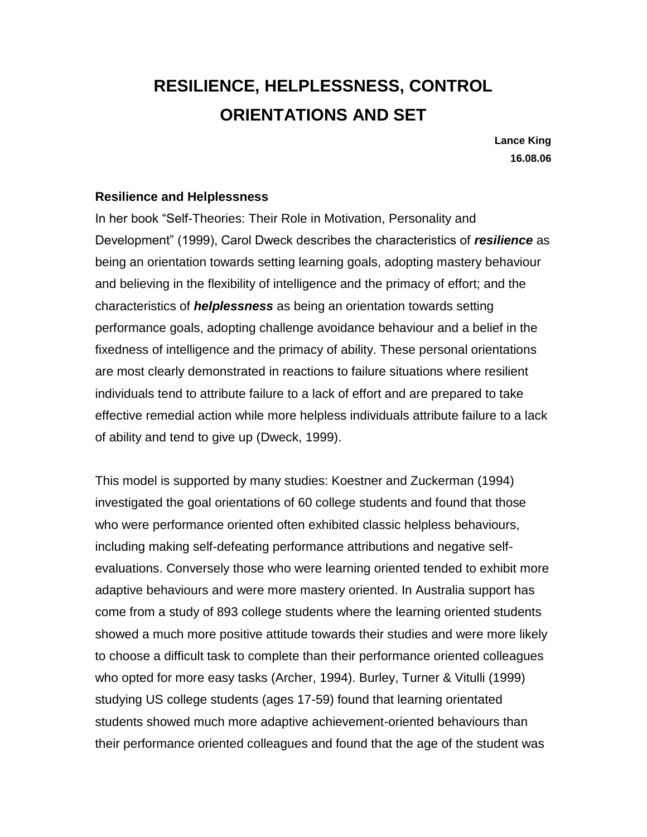# **RESILIENCE, HELPLESSNESS, CONTROL ORIENTATIONS AND SET**

**Lance King 16.08.06**

#### **Resilience and Helplessness**

In her book "Self-Theories: Their Role in Motivation, Personality and Development" (1999), Carol Dweck describes the characteristics of *resilience* as being an orientation towards setting learning goals, adopting mastery behaviour and believing in the flexibility of intelligence and the primacy of effort; and the characteristics of *helplessness* as being an orientation towards setting performance goals, adopting challenge avoidance behaviour and a belief in the fixedness of intelligence and the primacy of ability. These personal orientations are most clearly demonstrated in reactions to failure situations where resilient individuals tend to attribute failure to a lack of effort and are prepared to take effective remedial action while more helpless individuals attribute failure to a lack of ability and tend to give up (Dweck, 1999).

This model is supported by many studies: Koestner and Zuckerman (1994) investigated the goal orientations of 60 college students and found that those who were performance oriented often exhibited classic helpless behaviours, including making self-defeating performance attributions and negative selfevaluations. Conversely those who were learning oriented tended to exhibit more adaptive behaviours and were more mastery oriented. In Australia support has come from a study of 893 college students where the learning oriented students showed a much more positive attitude towards their studies and were more likely to choose a difficult task to complete than their performance oriented colleagues who opted for more easy tasks (Archer, 1994). Burley, Turner & Vitulli (1999) studying US college students (ages 17-59) found that learning orientated students showed much more adaptive achievement-oriented behaviours than their performance oriented colleagues and found that the age of the student was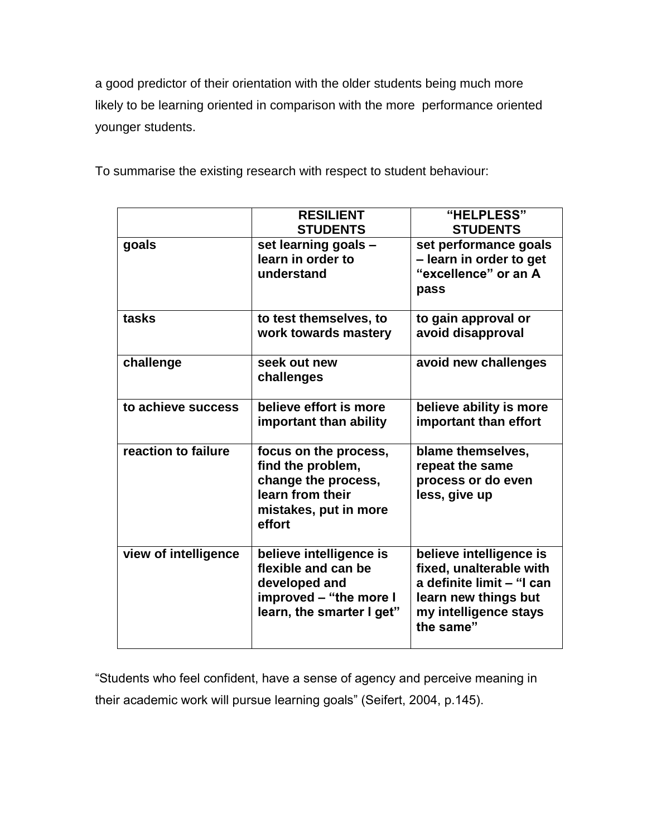a good predictor of their orientation with the older students being much more likely to be learning oriented in comparison with the more performance oriented younger students.

|                      | <b>RESILIENT</b><br><b>STUDENTS</b>                                                                                      | "HELPLESS"<br><b>STUDENTS</b>                                                                                                                 |
|----------------------|--------------------------------------------------------------------------------------------------------------------------|-----------------------------------------------------------------------------------------------------------------------------------------------|
| goals                | set learning goals -<br>learn in order to<br>understand                                                                  | set performance goals<br>- learn in order to get<br>"excellence" or an A<br>pass                                                              |
| tasks                | to test themselves, to<br>work towards mastery                                                                           | to gain approval or<br>avoid disapproval                                                                                                      |
| challenge            | seek out new<br>challenges                                                                                               | avoid new challenges                                                                                                                          |
| to achieve success   | believe effort is more<br>important than ability                                                                         | believe ability is more<br>important than effort                                                                                              |
| reaction to failure  | focus on the process,<br>find the problem,<br>change the process,<br>learn from their<br>mistakes, put in more<br>effort | blame themselves,<br>repeat the same<br>process or do even<br>less, give up                                                                   |
| view of intelligence | believe intelligence is<br>flexible and can be<br>developed and<br>improved - "the more I<br>learn, the smarter I get"   | believe intelligence is<br>fixed, unalterable with<br>a definite limit - "I can<br>learn new things but<br>my intelligence stays<br>the same" |

To summarise the existing research with respect to student behaviour:

"Students who feel confident, have a sense of agency and perceive meaning in their academic work will pursue learning goals" (Seifert, 2004, p.145).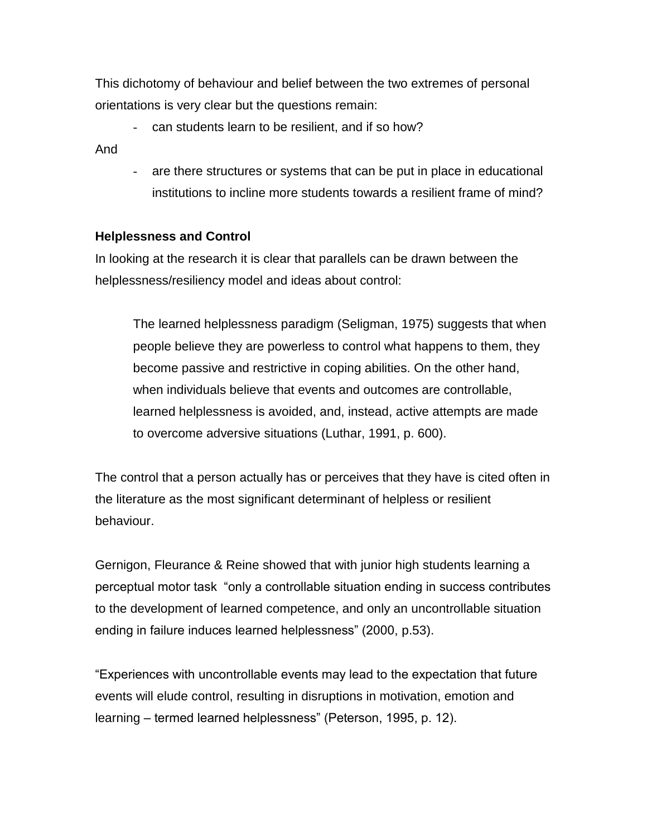This dichotomy of behaviour and belief between the two extremes of personal orientations is very clear but the questions remain:

can students learn to be resilient, and if so how?

And

- are there structures or systems that can be put in place in educational institutions to incline more students towards a resilient frame of mind?

## **Helplessness and Control**

In looking at the research it is clear that parallels can be drawn between the helplessness/resiliency model and ideas about control:

The learned helplessness paradigm (Seligman, 1975) suggests that when people believe they are powerless to control what happens to them, they become passive and restrictive in coping abilities. On the other hand, when individuals believe that events and outcomes are controllable, learned helplessness is avoided, and, instead, active attempts are made to overcome adversive situations (Luthar, 1991, p. 600).

The control that a person actually has or perceives that they have is cited often in the literature as the most significant determinant of helpless or resilient behaviour.

Gernigon, Fleurance & Reine showed that with junior high students learning a perceptual motor task "only a controllable situation ending in success contributes to the development of learned competence, and only an uncontrollable situation ending in failure induces learned helplessness" (2000, p.53).

"Experiences with uncontrollable events may lead to the expectation that future events will elude control, resulting in disruptions in motivation, emotion and learning – termed learned helplessness" (Peterson, 1995, p. 12).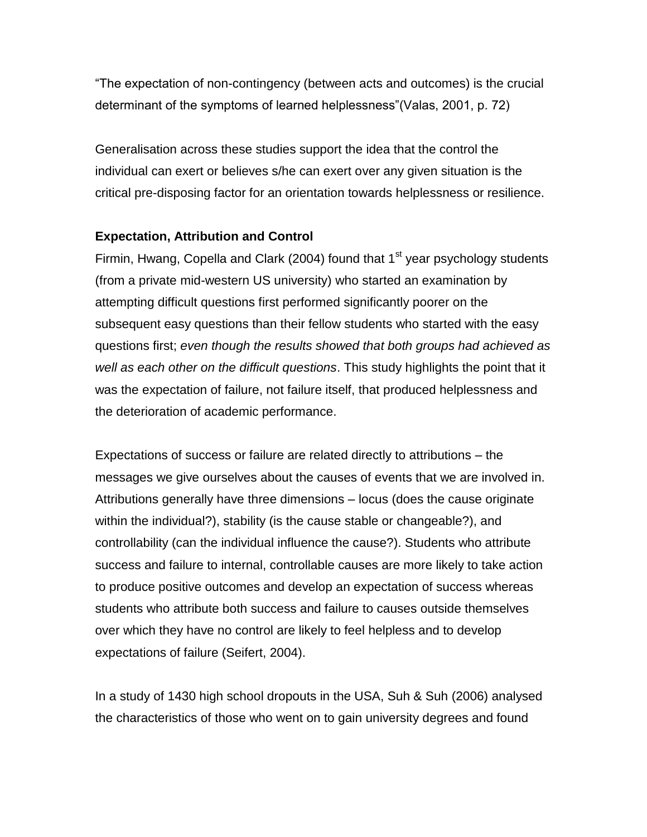"The expectation of non-contingency (between acts and outcomes) is the crucial determinant of the symptoms of learned helplessness"(Valas, 2001, p. 72)

Generalisation across these studies support the idea that the control the individual can exert or believes s/he can exert over any given situation is the critical pre-disposing factor for an orientation towards helplessness or resilience.

## **Expectation, Attribution and Control**

Firmin, Hwang, Copella and Clark (2004) found that  $1<sup>st</sup>$  year psychology students (from a private mid-western US university) who started an examination by attempting difficult questions first performed significantly poorer on the subsequent easy questions than their fellow students who started with the easy questions first; *even though the results showed that both groups had achieved as well as each other on the difficult questions*. This study highlights the point that it was the expectation of failure, not failure itself, that produced helplessness and the deterioration of academic performance.

Expectations of success or failure are related directly to attributions – the messages we give ourselves about the causes of events that we are involved in. Attributions generally have three dimensions – locus (does the cause originate within the individual?), stability (is the cause stable or changeable?), and controllability (can the individual influence the cause?). Students who attribute success and failure to internal, controllable causes are more likely to take action to produce positive outcomes and develop an expectation of success whereas students who attribute both success and failure to causes outside themselves over which they have no control are likely to feel helpless and to develop expectations of failure (Seifert, 2004).

In a study of 1430 high school dropouts in the USA, Suh & Suh (2006) analysed the characteristics of those who went on to gain university degrees and found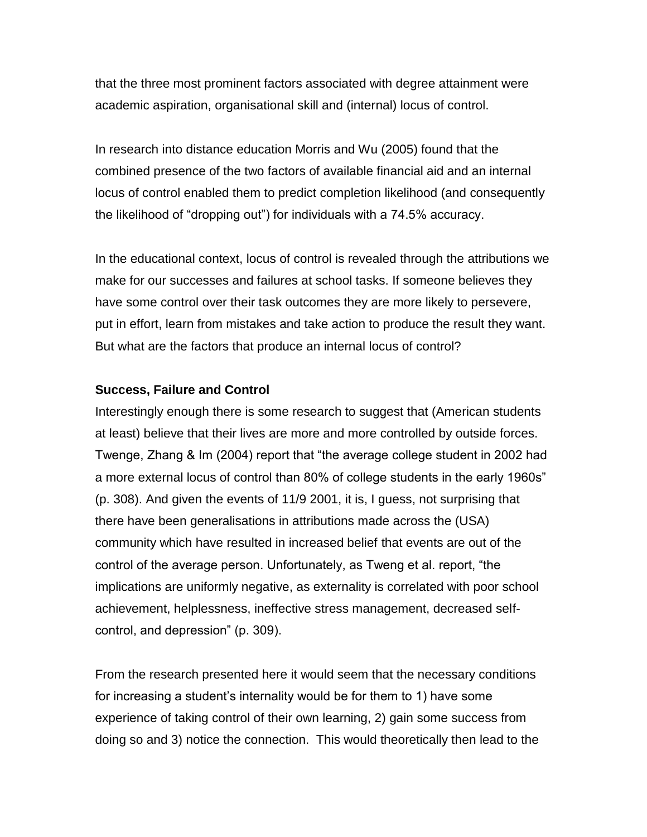that the three most prominent factors associated with degree attainment were academic aspiration, organisational skill and (internal) locus of control.

In research into distance education Morris and Wu (2005) found that the combined presence of the two factors of available financial aid and an internal locus of control enabled them to predict completion likelihood (and consequently the likelihood of "dropping out") for individuals with a 74.5% accuracy.

In the educational context, locus of control is revealed through the attributions we make for our successes and failures at school tasks. If someone believes they have some control over their task outcomes they are more likely to persevere, put in effort, learn from mistakes and take action to produce the result they want. But what are the factors that produce an internal locus of control?

#### **Success, Failure and Control**

Interestingly enough there is some research to suggest that (American students at least) believe that their lives are more and more controlled by outside forces. Twenge, Zhang & Im (2004) report that "the average college student in 2002 had a more external locus of control than 80% of college students in the early 1960s" (p. 308). And given the events of 11/9 2001, it is, I guess, not surprising that there have been generalisations in attributions made across the (USA) community which have resulted in increased belief that events are out of the control of the average person. Unfortunately, as Tweng et al. report, "the implications are uniformly negative, as externality is correlated with poor school achievement, helplessness, ineffective stress management, decreased selfcontrol, and depression" (p. 309).

From the research presented here it would seem that the necessary conditions for increasing a student's internality would be for them to 1) have some experience of taking control of their own learning, 2) gain some success from doing so and 3) notice the connection. This would theoretically then lead to the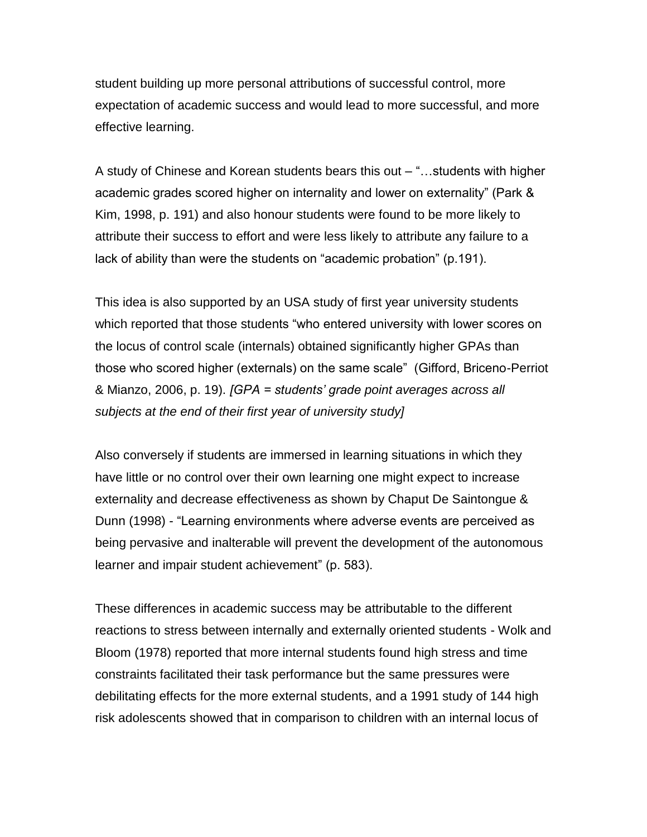student building up more personal attributions of successful control, more expectation of academic success and would lead to more successful, and more effective learning.

A study of Chinese and Korean students bears this out – "…students with higher academic grades scored higher on internality and lower on externality" (Park & Kim, 1998, p. 191) and also honour students were found to be more likely to attribute their success to effort and were less likely to attribute any failure to a lack of ability than were the students on "academic probation" (p.191).

This idea is also supported by an USA study of first year university students which reported that those students "who entered university with lower scores on the locus of control scale (internals) obtained significantly higher GPAs than those who scored higher (externals) on the same scale" (Gifford, Briceno-Perriot & Mianzo, 2006, p. 19). *[GPA = students' grade point averages across all subjects at the end of their first year of university study]*

Also conversely if students are immersed in learning situations in which they have little or no control over their own learning one might expect to increase externality and decrease effectiveness as shown by Chaput De Saintongue & Dunn (1998) - "Learning environments where adverse events are perceived as being pervasive and inalterable will prevent the development of the autonomous learner and impair student achievement" (p. 583).

These differences in academic success may be attributable to the different reactions to stress between internally and externally oriented students - Wolk and Bloom (1978) reported that more internal students found high stress and time constraints facilitated their task performance but the same pressures were debilitating effects for the more external students, and a 1991 study of 144 high risk adolescents showed that in comparison to children with an internal locus of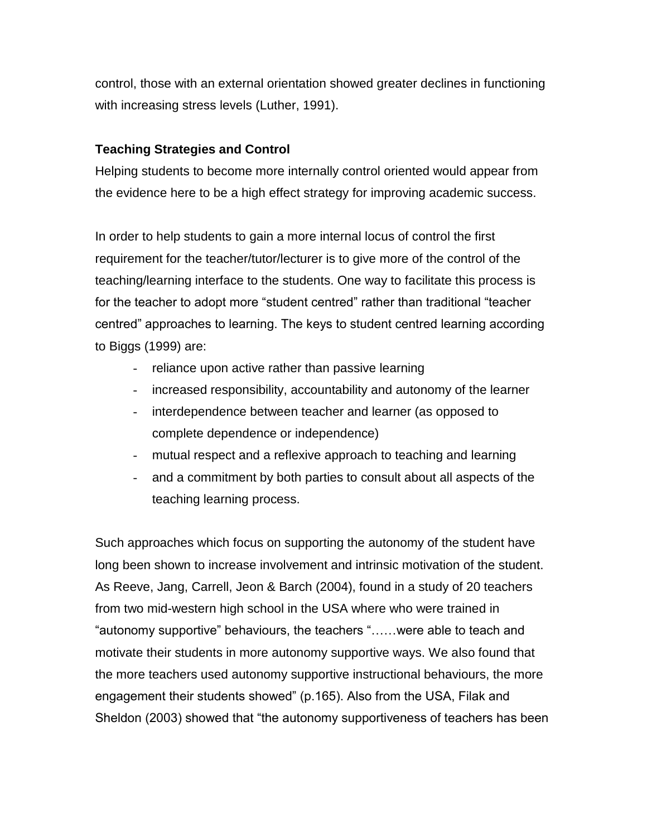control, those with an external orientation showed greater declines in functioning with increasing stress levels (Luther, 1991).

# **Teaching Strategies and Control**

Helping students to become more internally control oriented would appear from the evidence here to be a high effect strategy for improving academic success.

In order to help students to gain a more internal locus of control the first requirement for the teacher/tutor/lecturer is to give more of the control of the teaching/learning interface to the students. One way to facilitate this process is for the teacher to adopt more "student centred" rather than traditional "teacher centred" approaches to learning. The keys to student centred learning according to Biggs (1999) are:

- reliance upon active rather than passive learning
- increased responsibility, accountability and autonomy of the learner
- interdependence between teacher and learner (as opposed to complete dependence or independence)
- mutual respect and a reflexive approach to teaching and learning
- and a commitment by both parties to consult about all aspects of the teaching learning process.

Such approaches which focus on supporting the autonomy of the student have long been shown to increase involvement and intrinsic motivation of the student. As Reeve, Jang, Carrell, Jeon & Barch (2004), found in a study of 20 teachers from two mid-western high school in the USA where who were trained in "autonomy supportive" behaviours, the teachers "……were able to teach and motivate their students in more autonomy supportive ways. We also found that the more teachers used autonomy supportive instructional behaviours, the more engagement their students showed" (p.165). Also from the USA, Filak and Sheldon (2003) showed that "the autonomy supportiveness of teachers has been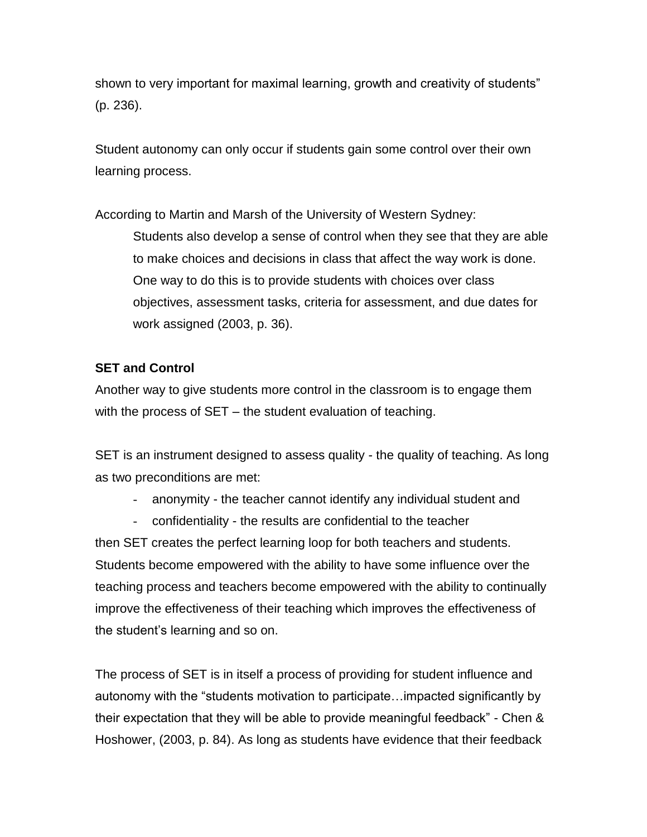shown to very important for maximal learning, growth and creativity of students" (p. 236).

Student autonomy can only occur if students gain some control over their own learning process.

According to Martin and Marsh of the University of Western Sydney: Students also develop a sense of control when they see that they are able to make choices and decisions in class that affect the way work is done. One way to do this is to provide students with choices over class objectives, assessment tasks, criteria for assessment, and due dates for work assigned (2003, p. 36).

# **SET and Control**

Another way to give students more control in the classroom is to engage them with the process of SET – the student evaluation of teaching.

SET is an instrument designed to assess quality - the quality of teaching. As long as two preconditions are met:

- anonymity the teacher cannot identify any individual student and
- confidentiality the results are confidential to the teacher

then SET creates the perfect learning loop for both teachers and students. Students become empowered with the ability to have some influence over the teaching process and teachers become empowered with the ability to continually improve the effectiveness of their teaching which improves the effectiveness of the student"s learning and so on.

The process of SET is in itself a process of providing for student influence and autonomy with the "students motivation to participate…impacted significantly by their expectation that they will be able to provide meaningful feedback" - Chen & Hoshower, (2003, p. 84). As long as students have evidence that their feedback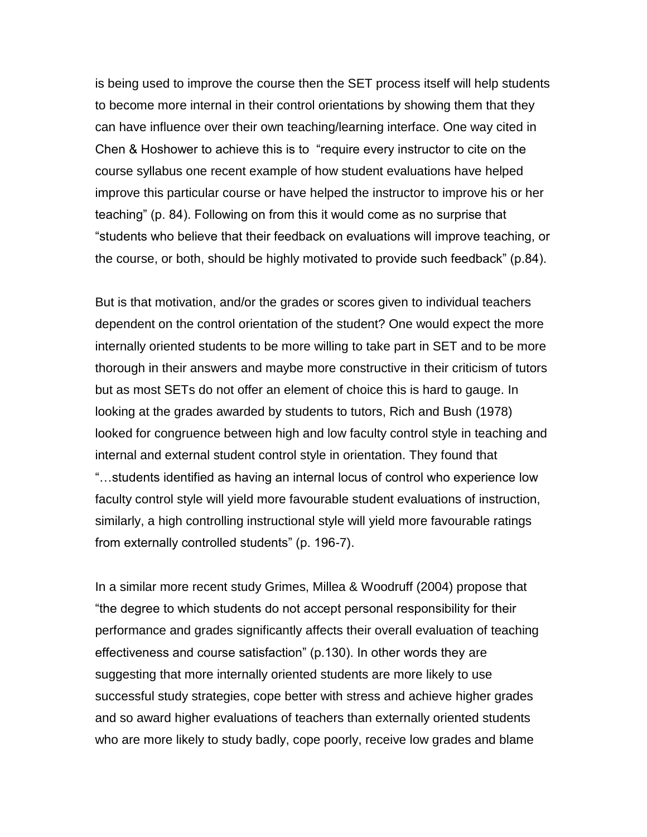is being used to improve the course then the SET process itself will help students to become more internal in their control orientations by showing them that they can have influence over their own teaching/learning interface. One way cited in Chen & Hoshower to achieve this is to "require every instructor to cite on the course syllabus one recent example of how student evaluations have helped improve this particular course or have helped the instructor to improve his or her teaching" (p. 84). Following on from this it would come as no surprise that "students who believe that their feedback on evaluations will improve teaching, or the course, or both, should be highly motivated to provide such feedback" (p.84).

But is that motivation, and/or the grades or scores given to individual teachers dependent on the control orientation of the student? One would expect the more internally oriented students to be more willing to take part in SET and to be more thorough in their answers and maybe more constructive in their criticism of tutors but as most SETs do not offer an element of choice this is hard to gauge. In looking at the grades awarded by students to tutors, Rich and Bush (1978) looked for congruence between high and low faculty control style in teaching and internal and external student control style in orientation. They found that "…students identified as having an internal locus of control who experience low faculty control style will yield more favourable student evaluations of instruction, similarly, a high controlling instructional style will yield more favourable ratings from externally controlled students" (p. 196-7).

In a similar more recent study Grimes, Millea & Woodruff (2004) propose that "the degree to which students do not accept personal responsibility for their performance and grades significantly affects their overall evaluation of teaching effectiveness and course satisfaction" (p.130). In other words they are suggesting that more internally oriented students are more likely to use successful study strategies, cope better with stress and achieve higher grades and so award higher evaluations of teachers than externally oriented students who are more likely to study badly, cope poorly, receive low grades and blame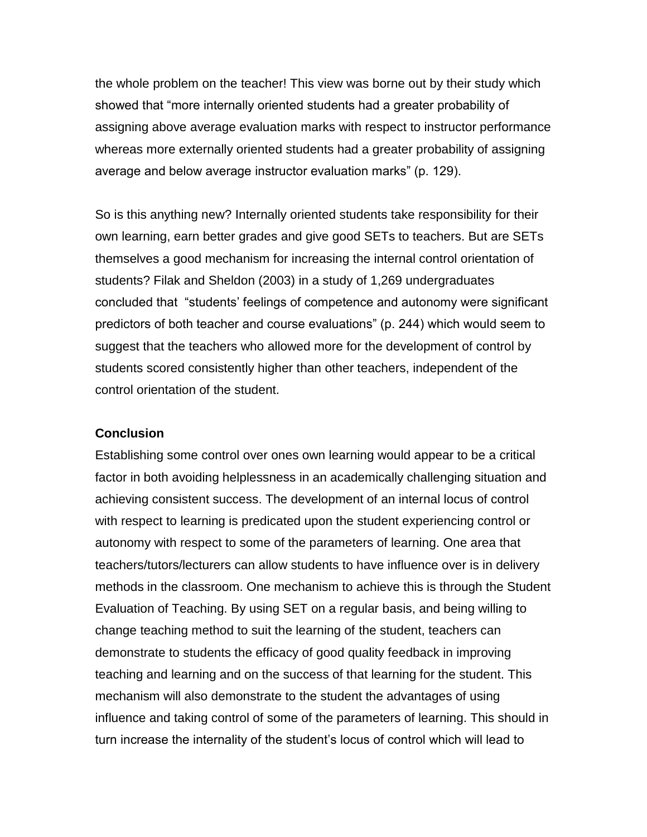the whole problem on the teacher! This view was borne out by their study which showed that "more internally oriented students had a greater probability of assigning above average evaluation marks with respect to instructor performance whereas more externally oriented students had a greater probability of assigning average and below average instructor evaluation marks" (p. 129).

So is this anything new? Internally oriented students take responsibility for their own learning, earn better grades and give good SETs to teachers. But are SETs themselves a good mechanism for increasing the internal control orientation of students? Filak and Sheldon (2003) in a study of 1,269 undergraduates concluded that "students" feelings of competence and autonomy were significant predictors of both teacher and course evaluations" (p. 244) which would seem to suggest that the teachers who allowed more for the development of control by students scored consistently higher than other teachers, independent of the control orientation of the student.

#### **Conclusion**

Establishing some control over ones own learning would appear to be a critical factor in both avoiding helplessness in an academically challenging situation and achieving consistent success. The development of an internal locus of control with respect to learning is predicated upon the student experiencing control or autonomy with respect to some of the parameters of learning. One area that teachers/tutors/lecturers can allow students to have influence over is in delivery methods in the classroom. One mechanism to achieve this is through the Student Evaluation of Teaching. By using SET on a regular basis, and being willing to change teaching method to suit the learning of the student, teachers can demonstrate to students the efficacy of good quality feedback in improving teaching and learning and on the success of that learning for the student. This mechanism will also demonstrate to the student the advantages of using influence and taking control of some of the parameters of learning. This should in turn increase the internality of the student"s locus of control which will lead to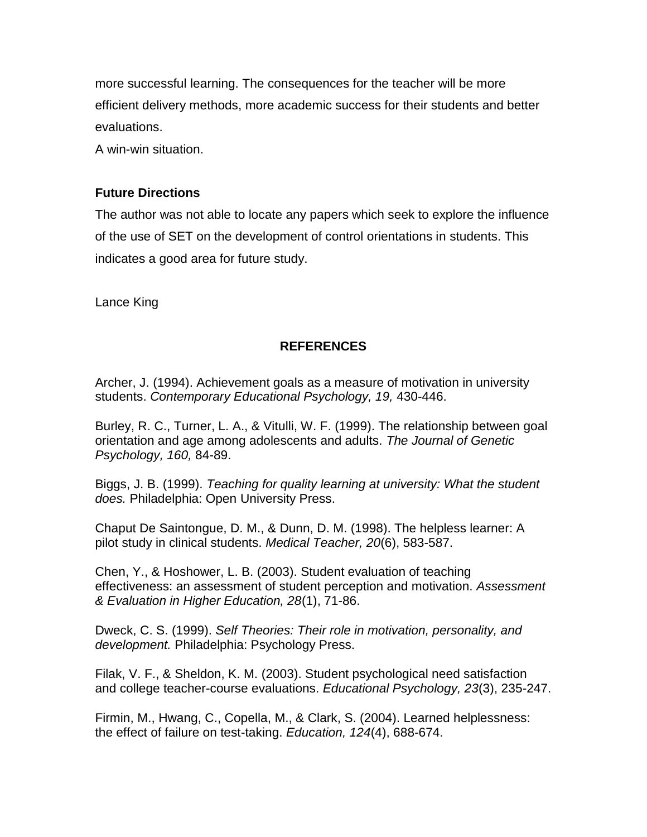more successful learning. The consequences for the teacher will be more efficient delivery methods, more academic success for their students and better evaluations.

A win-win situation.

### **Future Directions**

The author was not able to locate any papers which seek to explore the influence of the use of SET on the development of control orientations in students. This indicates a good area for future study.

Lance King

#### **REFERENCES**

Archer, J. (1994). Achievement goals as a measure of motivation in university students. *Contemporary Educational Psychology, 19,* 430-446.

Burley, R. C., Turner, L. A., & Vitulli, W. F. (1999). The relationship between goal orientation and age among adolescents and adults. *The Journal of Genetic Psychology, 160,* 84-89.

Biggs, J. B. (1999). *Teaching for quality learning at university: What the student does.* Philadelphia: Open University Press.

Chaput De Saintongue, D. M., & Dunn, D. M. (1998). The helpless learner: A pilot study in clinical students. *Medical Teacher, 20*(6), 583-587.

Chen, Y., & Hoshower, L. B. (2003). Student evaluation of teaching effectiveness: an assessment of student perception and motivation. *Assessment & Evaluation in Higher Education, 28*(1), 71-86.

Dweck, C. S. (1999). *Self Theories: Their role in motivation, personality, and development.* Philadelphia: Psychology Press.

Filak, V. F., & Sheldon, K. M. (2003). Student psychological need satisfaction and college teacher-course evaluations. *Educational Psychology, 23*(3), 235-247.

Firmin, M., Hwang, C., Copella, M., & Clark, S. (2004). Learned helplessness: the effect of failure on test-taking. *Education, 124*(4), 688-674.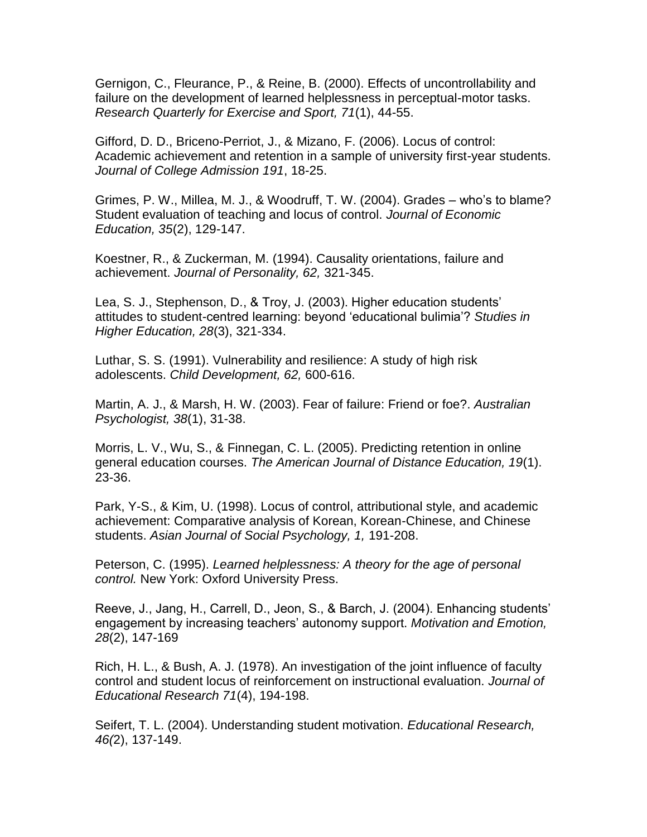Gernigon, C., Fleurance, P., & Reine, B. (2000). Effects of uncontrollability and failure on the development of learned helplessness in perceptual-motor tasks. *Research Quarterly for Exercise and Sport, 71*(1), 44-55.

Gifford, D. D., Briceno-Perriot, J., & Mizano, F. (2006). Locus of control: Academic achievement and retention in a sample of university first-year students. *Journal of College Admission 191*, 18-25.

Grimes, P. W., Millea, M. J., & Woodruff, T. W. (2004). Grades – who"s to blame? Student evaluation of teaching and locus of control. *Journal of Economic Education, 35*(2), 129-147.

Koestner, R., & Zuckerman, M. (1994). Causality orientations, failure and achievement. *Journal of Personality, 62,* 321-345.

Lea, S. J., Stephenson, D., & Troy, J. (2003). Higher education students" attitudes to student-centred learning: beyond "educational bulimia"? *Studies in Higher Education, 28*(3), 321-334.

Luthar, S. S. (1991). Vulnerability and resilience: A study of high risk adolescents. *Child Development, 62,* 600-616.

Martin, A. J., & Marsh, H. W. (2003). Fear of failure: Friend or foe?. *Australian Psychologist, 38*(1), 31-38.

Morris, L. V., Wu, S., & Finnegan, C. L. (2005). Predicting retention in online general education courses. *The American Journal of Distance Education, 19*(1). 23-36.

Park, Y-S., & Kim, U. (1998). Locus of control, attributional style, and academic achievement: Comparative analysis of Korean, Korean-Chinese, and Chinese students. *Asian Journal of Social Psychology, 1,* 191-208.

Peterson, C. (1995). *Learned helplessness: A theory for the age of personal control.* New York: Oxford University Press.

Reeve, J., Jang, H., Carrell, D., Jeon, S., & Barch, J. (2004). Enhancing students" engagement by increasing teachers" autonomy support. *Motivation and Emotion, 28*(2), 147-169

Rich, H. L., & Bush, A. J. (1978). An investigation of the joint influence of faculty control and student locus of reinforcement on instructional evaluation. *Journal of Educational Research 71*(4), 194-198.

Seifert, T. L. (2004). Understanding student motivation. *Educational Research, 46(*2), 137-149.